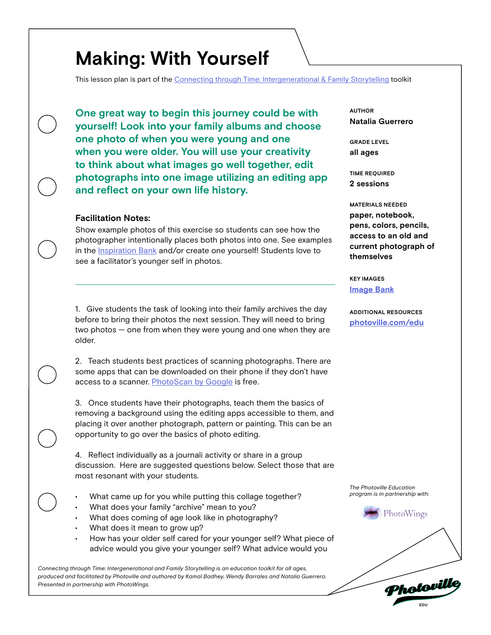## **Making: With Yourself**

This lesson plan is part of the [Connecting through Time: Intergenerational & Family Storytelling](https://photoville.com/projects/connecting-through-time) toolkit

**One great way to begin this journey could be with yourself! Look into your family albums and choose one photo of when you were young and one when you were older. You will use your creativity to think about what images go well together, edit photographs into one image utilizing an editing app and reflect on your own life history.**

#### **Facilitation Notes:**

Show example photos of this exercise so students can see how the photographer intentionally places both photos into one. See examples in the **Inspiration Bank** and/or create one yourself! Students love to see a facilitator's younger self in photos.

1. Give students the task of looking into their family archives the day before to bring their photos the next session. They will need to bring two photos — one from when they were young and one when they are older.

2. Teach students best practices of scanning photographs. There are some apps that can be downloaded on their phone if they don't have access to a scanner. [PhotoScan by Google](https://play.google.com/store/apps/details?id=com.google.android.apps.photos.scanner&hl=en_US) is free.

3. Once students have their photographs, teach them the basics of removing a background using the editing apps accessible to them, and placing it over another photograph, pattern or painting. This can be an opportunity to go over the basics of photo editing.

4. Reflect individually as a journali activity or share in a group discussion. Here are suggested questions below. Select those that are most resonant with your students.

- What came up for you while putting this collage together?
- What does your family "archive" mean to you?
- What does coming of age look like in photography?
- What does it mean to grow up?
- How has your older self cared for your younger self? What piece of advice would you give your younger self? What advice would you

*Connecting through Time: Intergenerational and Family Storytelling is an education toolkit for all ages, produced and facilitated by Photoville and authored by Kamal Badhey, Wendy Barrales and Natalia Guerrero. Presented in partnership with PhotoWings.* 

**Natalia Guerrero AUTHOR**

**all ages GRADE LEVEL**

**2 sessions TIME REQUIRED**

**paper, notebook, pens, colors, pencils, access to an old and current photograph of themselves MATERIALS NEEDED**

**[Image Bank](https://docs.google.com/presentation/d/1B1U4DId3niKz8945wVF6vGvYm4PJZX5ZlSJy6axrASU/edit?usp=sharing) KEY IMAGES**

**[photoville.com/edu](http://photoville.com/edu) ADDITIONAL RESOURCES**

*The Photoville Education program is in partnership with:*